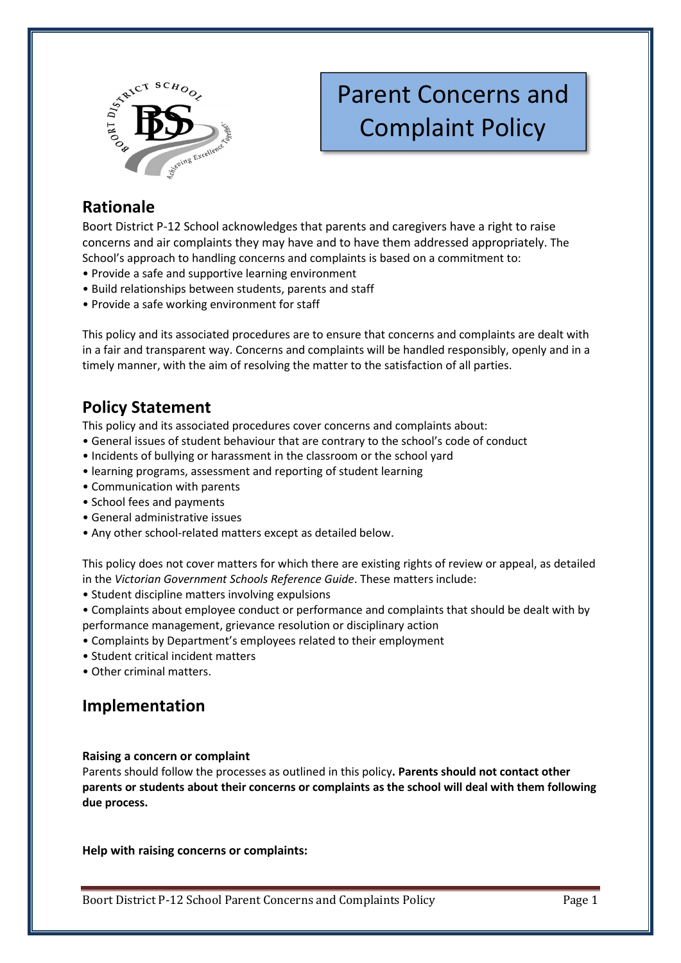

# Parent Concerns and Complaint Policy

## **Rationale**

Boort District P-12 School acknowledges that parents and caregivers have a right to raise concerns and air complaints they may have and to have them addressed appropriately. The School's approach to handling concerns and complaints is based on a commitment to:

- Provide a safe and supportive learning environment
- Build relationships between students, parents and staff
- Provide a safe working environment for staff

This policy and its associated procedures are to ensure that concerns and complaints are dealt with in a fair and transparent way. Concerns and complaints will be handled responsibly, openly and in a timely manner, with the aim of resolving the matter to the satisfaction of all parties.

### **Policy Statement**

This policy and its associated procedures cover concerns and complaints about:

- General issues of student behaviour that are contrary to the school's code of conduct
- Incidents of bullying or harassment in the classroom or the school yard
- learning programs, assessment and reporting of student learning
- Communication with parents
- School fees and payments
- General administrative issues
- Any other school-related matters except as detailed below.

This policy does not cover matters for which there are existing rights of review or appeal, as detailed in the *Victorian Government Schools Reference Guide*. These matters include:

- Student discipline matters involving expulsions
- Complaints about employee conduct or performance and complaints that should be dealt with by performance management, grievance resolution or disciplinary action
- Complaints by Department's employees related to their employment
- Student critical incident matters
- Other criminal matters.

### **Implementation**

### **Raising a concern or complaint**

Parents should follow the processes as outlined in this policy**. Parents should not contact other parents or students about their concerns or complaints as the school will deal with them following due process.** 

**Help with raising concerns or complaints:**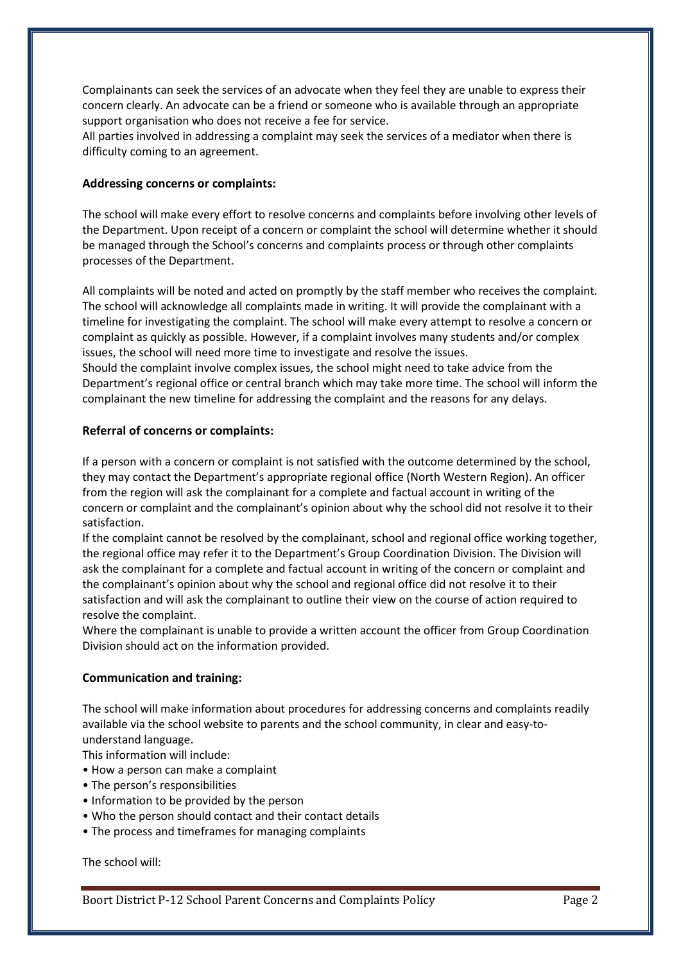Complainants can seek the services of an advocate when they feel they are unable to express their concern clearly. An advocate can be a friend or someone who is available through an appropriate support organisation who does not receive a fee for service.

All parties involved in addressing a complaint may seek the services of a mediator when there is difficulty coming to an agreement.

### **Addressing concerns or complaints:**

The school will make every effort to resolve concerns and complaints before involving other levels of the Department. Upon receipt of a concern or complaint the school will determine whether it should be managed through the School's concerns and complaints process or through other complaints processes of the Department.

All complaints will be noted and acted on promptly by the staff member who receives the complaint. The school will acknowledge all complaints made in writing. It will provide the complainant with a timeline for investigating the complaint. The school will make every attempt to resolve a concern or complaint as quickly as possible. However, if a complaint involves many students and/or complex issues, the school will need more time to investigate and resolve the issues.

Should the complaint involve complex issues, the school might need to take advice from the Department's regional office or central branch which may take more time. The school will inform the complainant the new timeline for addressing the complaint and the reasons for any delays.

#### **Referral of concerns or complaints:**

If a person with a concern or complaint is not satisfied with the outcome determined by the school, they may contact the Department's appropriate regional office (North Western Region). An officer from the region will ask the complainant for a complete and factual account in writing of the concern or complaint and the complainant's opinion about why the school did not resolve it to their satisfaction.

If the complaint cannot be resolved by the complainant, school and regional office working together, the regional office may refer it to the Department's Group Coordination Division. The Division will ask the complainant for a complete and factual account in writing of the concern or complaint and the complainant's opinion about why the school and regional office did not resolve it to their satisfaction and will ask the complainant to outline their view on the course of action required to resolve the complaint.

Where the complainant is unable to provide a written account the officer from Group Coordination Division should act on the information provided.

#### **Communication and training:**

The school will make information about procedures for addressing concerns and complaints readily available via the school website to parents and the school community, in clear and easy-tounderstand language.

This information will include:

- How a person can make a complaint
- The person's responsibilities
- Information to be provided by the person
- Who the person should contact and their contact details
- The process and timeframes for managing complaints

The school will: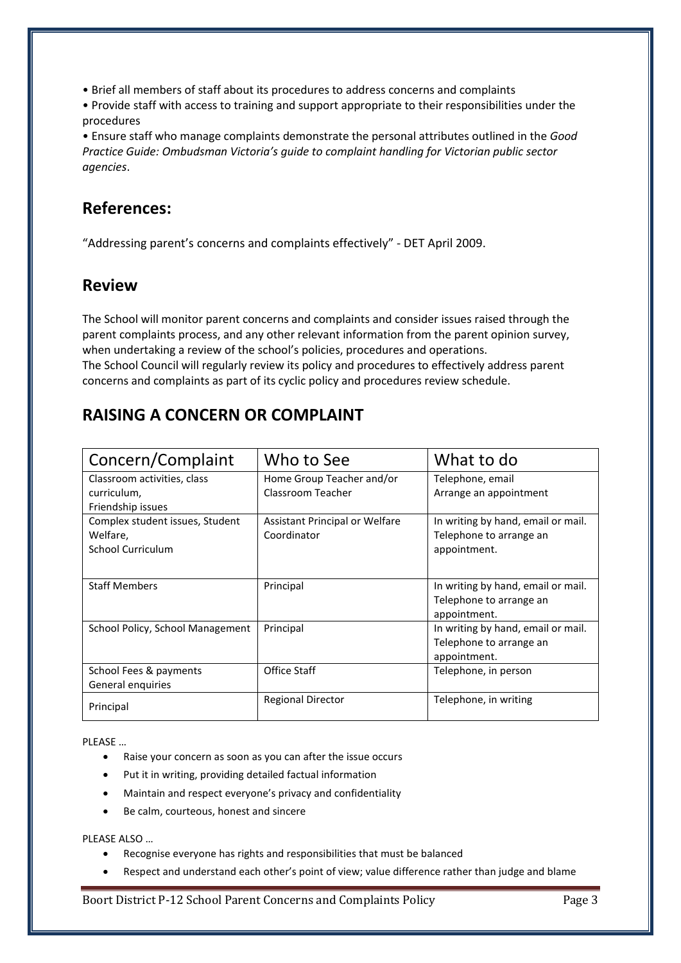• Brief all members of staff about its procedures to address concerns and complaints

• Provide staff with access to training and support appropriate to their responsibilities under the procedures

• Ensure staff who manage complaints demonstrate the personal attributes outlined in the *Good Practice Guide: Ombudsman Victoria's guide to complaint handling for Victorian public sector agencies*.

### **References:**

"Addressing parent's concerns and complaints effectively" - DET April 2009.

### **Review**

The School will monitor parent concerns and complaints and consider issues raised through the parent complaints process, and any other relevant information from the parent opinion survey, when undertaking a review of the school's policies, procedures and operations. The School Council will regularly review its policy and procedures to effectively address parent concerns and complaints as part of its cyclic policy and procedures review schedule.

# **RAISING A CONCERN OR COMPLAINT**

| Concern/Complaint                | Who to See                     | What to do                         |
|----------------------------------|--------------------------------|------------------------------------|
| Classroom activities, class      | Home Group Teacher and/or      | Telephone, email                   |
| curriculum,                      | Classroom Teacher              | Arrange an appointment             |
| Friendship issues                |                                |                                    |
| Complex student issues, Student  | Assistant Principal or Welfare | In writing by hand, email or mail. |
| Welfare,                         | Coordinator                    | Telephone to arrange an            |
| School Curriculum                |                                | appointment.                       |
|                                  |                                |                                    |
| <b>Staff Members</b>             | Principal                      | In writing by hand, email or mail. |
|                                  |                                | Telephone to arrange an            |
|                                  |                                | appointment.                       |
| School Policy, School Management | Principal                      | In writing by hand, email or mail. |
|                                  |                                | Telephone to arrange an            |
|                                  |                                | appointment.                       |
| School Fees & payments           | Office Staff                   | Telephone, in person               |
| General enquiries                |                                |                                    |
| Principal                        | <b>Regional Director</b>       | Telephone, in writing              |

PLEASE …

- Raise your concern as soon as you can after the issue occurs
- Put it in writing, providing detailed factual information
- Maintain and respect everyone's privacy and confidentiality
- Be calm, courteous, honest and sincere

PLEASE ALSO …

- Recognise everyone has rights and responsibilities that must be balanced
- Respect and understand each other's point of view; value difference rather than judge and blame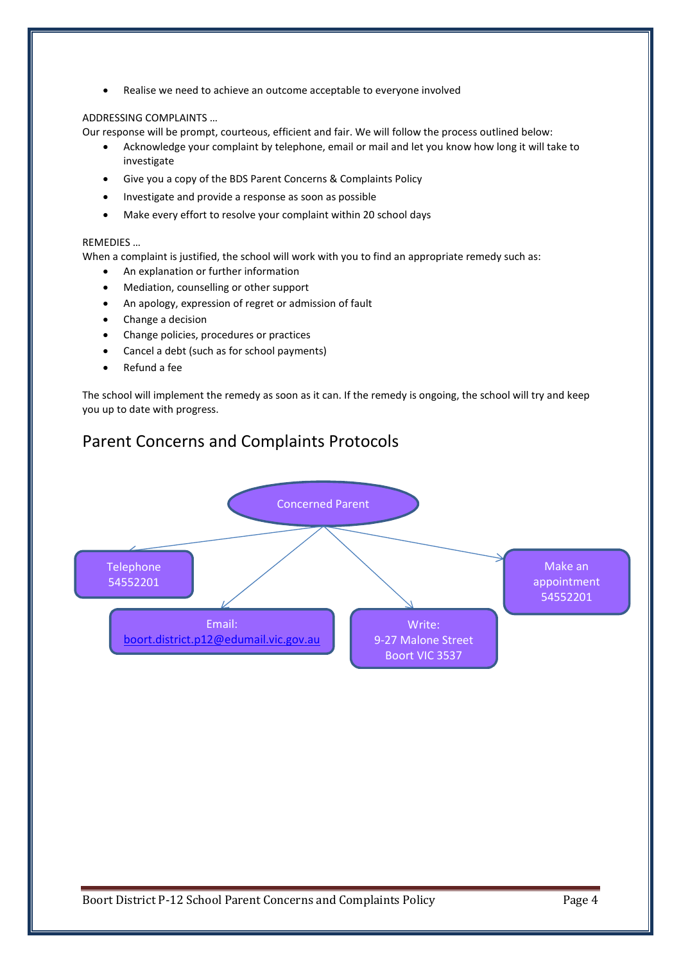Realise we need to achieve an outcome acceptable to everyone involved

#### ADDRESSING COMPLAINTS …

Our response will be prompt, courteous, efficient and fair. We will follow the process outlined below:

- Acknowledge your complaint by telephone, email or mail and let you know how long it will take to investigate
- Give you a copy of the BDS Parent Concerns & Complaints Policy
- Investigate and provide a response as soon as possible
- Make every effort to resolve your complaint within 20 school days

#### REMEDIES …

When a complaint is justified, the school will work with you to find an appropriate remedy such as:

- An explanation or further information
- Mediation, counselling or other support
- An apology, expression of regret or admission of fault
- Change a decision
- Change policies, procedures or practices
- Cancel a debt (such as for school payments)
- Refund a fee

The school will implement the remedy as soon as it can. If the remedy is ongoing, the school will try and keep you up to date with progress.

### Parent Concerns and Complaints Protocols

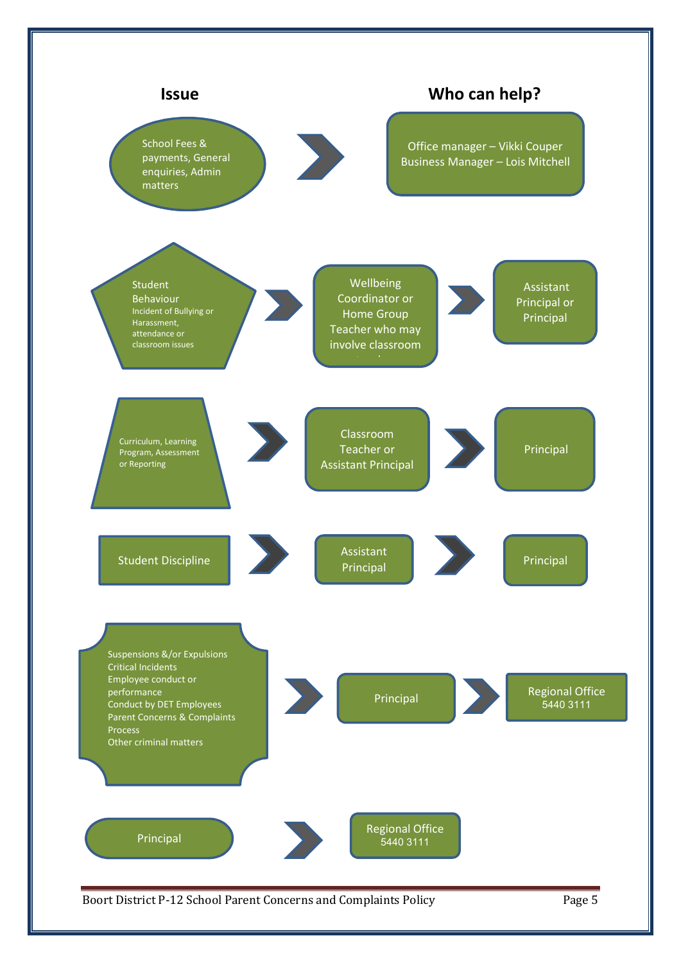